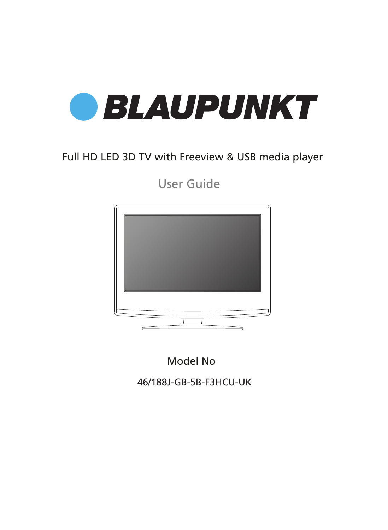

## Full HD LED 3D TV with Freeview & USB media player

User Guide



Model No

46/188J-GB-5B-F3HCU-UK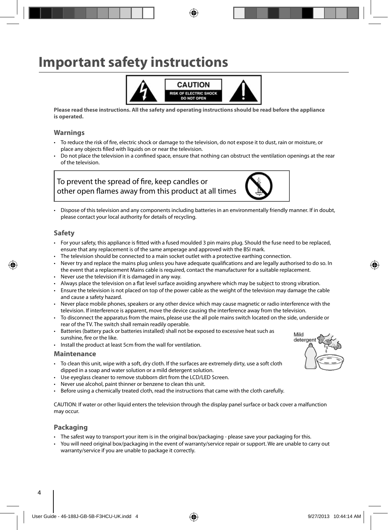## **Important safety instructions**



**Please read these instructions. All the safety and operating instructions should be read before the appliance is operated.**

#### **Warnings**

- To reduce the risk of fire, electric shock or damage to the television, do not expose it to dust, rain or moisture, or place any objects filled with liquids on or near the television.
- Do not place the television in a confined space, ensure that nothing can obstruct the ventilation openings at the rear of the television.

#### To prevent the spread of fire, keep candles or other open flames away from this product at all times



• Dispose of this television and any components including batteries in an environmentally friendly manner. If in doubt, please contact your local authority for details of recycling.

#### **Safety**

- For your safety, this appliance is fitted with a fused moulded 3 pin mains plug. Should the fuse need to be replaced, ensure that any replacement is of the same amperage and approved with the BSI mark.
- The television should be connected to a main socket outlet with a protective earthing connection.
- Never try and replace the mains plug unless you have adequate qualifications and are legally authorised to do so. In the event that a replacement Mains cable is required, contact the manufacturer for a suitable replacement.
- Never use the television if it is damaged in any way.
- Always place the television on a flat level surface avoiding anywhere which may be subject to strong vibration.
- Ensure the television is not placed on top of the power cable as the weight of the television may damage the cable and cause a safety hazard.
- Never place mobile phones, speakers or any other device which may cause magnetic or radio interference with the television. If interference is apparent, move the device causing the interference away from the television.
- To disconnect the apparatus from the mains, please use the all pole mains switch located on the side, underside or rear of the TV. The switch shall remain readily operable.
- Batteries (battery pack or batteries installed) shall not be exposed to excessive heat such as sunshine, fire or the like.
- Install the product at least 5cm from the wall for ventilation.

#### **Maintenance**

- To clean this unit, wipe with a soft, dry cloth. If the surfaces are extremely dirty, use a soft cloth dipped in a soap and water solution or a mild detergent solution.
- Use eyeglass cleaner to remove stubborn dirt from the LCD/LED Screen.
- Never use alcohol, paint thinner or benzene to clean this unit.
- Before using a chemically treated cloth, read the instructions that came with the cloth carefully.

CAUTION: If water or other liquid enters the television through the display panel surface or back cover a malfunction may occur.

#### **Packaging**

- The safest way to transport your item is in the original box/packaging please save your packaging for this.
- You will need original box/packaging in the event of warranty/service repair or support. We are unable to carry out warranty/service if you are unable to package it correctly.

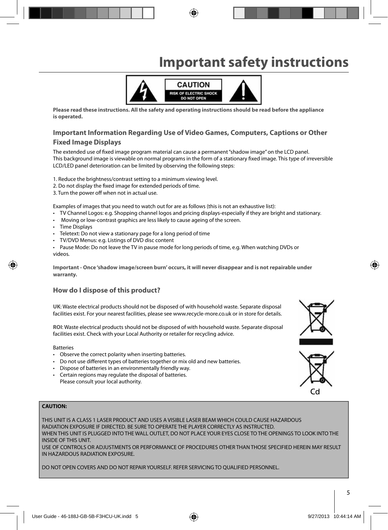# **Important safety instructions**



**Please read these instructions. All the safety and operating instructions should be read before the appliance is operated.**

## **Important Information Regarding Use of Video Games, Computers, Captions or Other**

#### **Fixed Image Displays**

The extended use of fixed image program material can cause a permanent "shadow image" on the LCD panel. This background image is viewable on normal programs in the form of a stationary fixed image. This type of irreversible LCD/LED panel deterioration can be limited by observing the following steps:

1. Reduce the brightness/contrast setting to a minimum viewing level.

- 2. Do not display the fixed image for extended periods of time.
- 3. Turn the power off when not in actual use.

Examples of images that you need to watch out for are as follows (this is not an exhaustive list):

- TV Channel Logos: e.g. Shopping channel logos and pricing displays-especially if they are bright and stationary.
- Moving or low-contrast graphics are less likely to cause ageing of the screen.
- Time Displays
- Teletext: Do not view a stationary page for a long period of time
- TV/DVD Menus: e.g. Listings of DVD disc content
- Pause Mode: Do not leave the TV in pause mode for long periods of time, e.g. When watching DVDs or videos.

**Important - Once 'shadow image/screen burn' occurs, it will never disappear and is not repairable under warranty.**

#### **How do I dispose of this product?**

**UK**: Waste electrical products should not be disposed of with household waste. Separate disposal facilities exist. For your nearest facilities, please see www.recycle-more.co.uk or in store for details.

**ROI**: Waste electrical products should not be disposed of with household waste. Separate disposal facilities exist. Check with your Local Authority or retailer for recycling advice.

Batteries

- Observe the correct polarity when inserting batteries.
- Do not use different types of batteries together or mix old and new batteries.
- Dispose of batteries in an environmentally friendly way.
- Certain regions may regulate the disposal of batteries. Please consult your local authority.

#### **CAUTION:**

THIS UNIT IS A CLASS 1 LASER PRODUCT AND USES A VISIBLE LASER BEAM WHICH COULD CAUSE HAZARDOUS RADIATION EXPOSURE IF DIRECTED. BE SURE TO OPERATE THE PLAYER CORRECTLY AS INSTRUCTED. WHEN THIS UNIT IS PLUGGED INTO THE WALL OUTLET, DO NOT PLACE YOUR EYES CLOSE TO THE OPENINGS TO LOOK INTO THE INSIDE OF THIS UNIT. USE OF CONTROLS OR ADJUSTMENTS OR PERFORMANCE OF PROCEDURES OTHER THAN THOSE SPECIFIED HEREIN MAY RESULT IN HAZARDOUS RADIATION EXPOSURE.

DO NOT OPEN COVERS AND DO NOT REPAIR YOURSELF. REFER SERVICING TO QUALIFIED PERSONNEL.



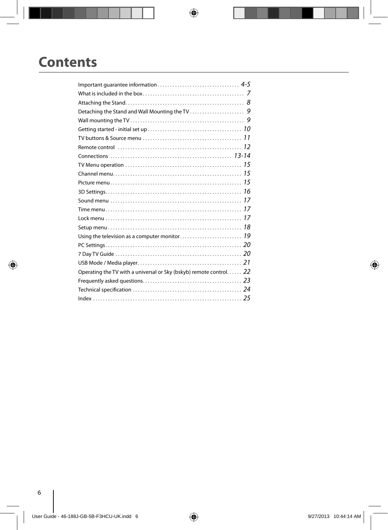## **Contents**

| Operating the TV with a universal or Sky (bskyb) remote control 22 |  |
|--------------------------------------------------------------------|--|
|                                                                    |  |
|                                                                    |  |
|                                                                    |  |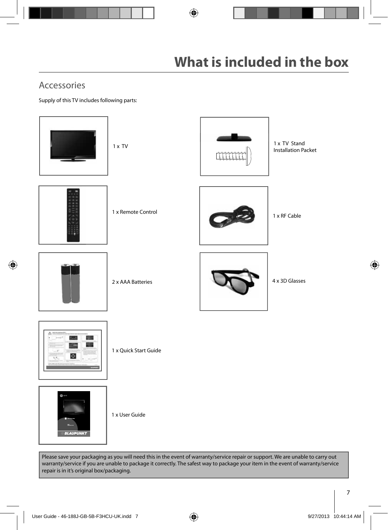## Accessories

Supply of this TV includes following parts:





1 x User Guide

Please save your packaging as you will need this in the event of warranty/service repair or support. We are unable to carry out warranty/service if you are unable to package it correctly. The safest way to package your item in the event of warranty/service repair is in it's original box/packaging.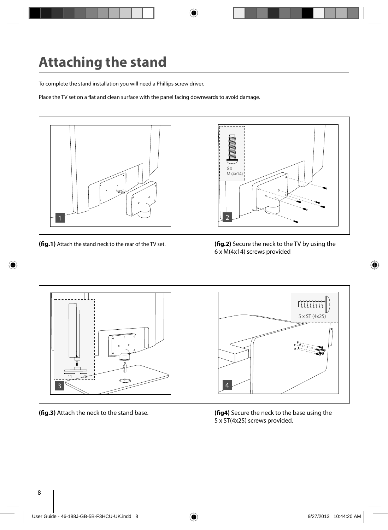# **Attaching the stand**

To complete the stand installation you will need a Phillips screw driver.

Place the TV set on a flat and clean surface with the panel facing downwards to avoid damage.



**(fig.1)** Attach the stand neck to the rear of the TV set. **(fig.2)** Secure the neck to the TV by using the 6 x M(4x14) screws provided



**(fig.3)** Attach the neck to the stand base. **(fig4)** Secure the neck to the base using the 5 x ST(4x25) screws provided.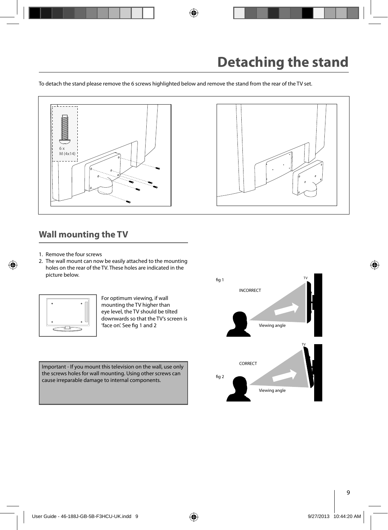To detach the stand please remove the 6 screws highlighted below and remove the stand from the rear of the TV set.



### **Wall mounting the TV**

- 1. Remove the four screws
- 2. The wall mount can now be easily attached to the mounting holes on the rear of the TV. These holes are indicated in the picture below.



For optimum viewing, if wall mounting the TV higher than eye level, the TV should be tilted downwards so that the TV's screen is 'face on'. See fig 1 and 2

Important - If you mount this television on the wall, use only the screws holes for wall mounting. Using other screws can cause irreparable damage to internal components.

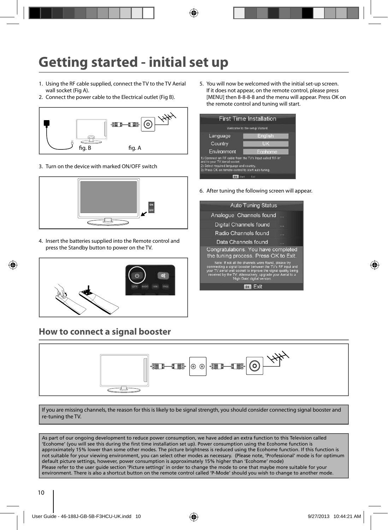# **Getting started - initial set up**

- 1. Using the RF cable supplied, connect the TV to the TV Aerial wall socket (Fig A).
- 2. Connect the power cable to the Electrical outlet (Fig B).



3. Turn on the device with marked ON/OFF switch



4. Insert the batteries supplied into the Remote control and press the Standby button to power on the TV.



### **How to connect a signal booster**

5. You will now be welcomed with the initial set-up screen. If it does not appear, on the remote control, please press [MENU] then 8-8-8-8 and the menu will appear. Press OK on the remote control and tuning will start.



6. After tuning the following screen will appear.

| <b>Auto Tuning Status</b>                                                                                                                                                                                                                                                           |  |
|-------------------------------------------------------------------------------------------------------------------------------------------------------------------------------------------------------------------------------------------------------------------------------------|--|
| Analogue Channels found                                                                                                                                                                                                                                                             |  |
| Digital Channels found                                                                                                                                                                                                                                                              |  |
| Radio Channels found                                                                                                                                                                                                                                                                |  |
| Data Channels found                                                                                                                                                                                                                                                                 |  |
| Congratulations. You have completed<br>the tuning process. Press OK to Exit.                                                                                                                                                                                                        |  |
| Note: If not all the channels were found, please try<br>connnecting a signal booster between the TV's RF input and<br>your TV aerial wall socket to improve the signal quality being<br>received by the TV. Alternatively, upgrade your Aerial to a<br>'High Gain' digital version. |  |
| Fxit<br>OK                                                                                                                                                                                                                                                                          |  |
|                                                                                                                                                                                                                                                                                     |  |



If you are missing channels, the reason for this is likely to be signal strength, you should consider connecting signal booster and re-tuning the TV.

As part of our ongoing development to reduce power consumption, we have added an extra function to this Television called 'Ecohome' (you will see this during the first time installation set up). Power consumption using the Ecohome function is approximately 15% lower than some other modes. The picture brightness is reduced using the Ecohome function. If this function is not suitable for your viewing environment, you can select other modes as necessary. (Please note, 'Professional' mode is for optimum default picture settings, however, power consumption is approximately 15% higher than 'Ecohome' mode) Please refer to the user guide section 'Picture settings' in order to change the mode to one that maybe more suitable for your environment. There is also a shortcut button on the remote control called 'P-Mode' should you wish to change to another mode.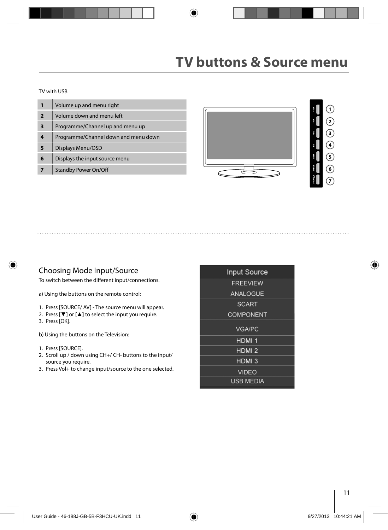## **TV buttons & Source menu**

TV with USB

|                         | Volume up and menu right             |
|-------------------------|--------------------------------------|
| $\overline{\mathbf{z}}$ | Volume down and menu left            |
| 3                       | Programme/Channel up and menu up     |
| 4                       | Programme/Channel down and menu down |
| 5                       | Displays Menu/OSD                    |
| 6                       | Displays the input source menu       |
|                         | <b>Standby Power On/Off</b>          |



#### Choosing Mode Input/Source

To switch between the different input/connections.

a) Using the buttons on the remote control:

- 1. Press [SOURCE/ AV] The source menu will appear.
- 2. Press  $[\nabla]$  or  $[\nabla]$  to select the input you require. 3. Press [OK].
- b) Using the buttons on the Television:
- 1. Press [SOURCE].
- 2. Scroll up / down using CH+/ CH- buttons to the input/ source you require.
- 3. Press Vol+ to change input/source to the one selected.

| <b>Input Source</b> |
|---------------------|
| <b>FREEVIEW</b>     |
| <b>ANALOGUE</b>     |
| <b>SCART</b>        |
| <b>COMPONENT</b>    |
| <b>VGA/PC</b>       |
| <b>HDMI1</b>        |
| HDMI <sub>2</sub>   |
| HDMI <sub>3</sub>   |
| <b>VIDEO</b>        |
| <b>USB MEDIA</b>    |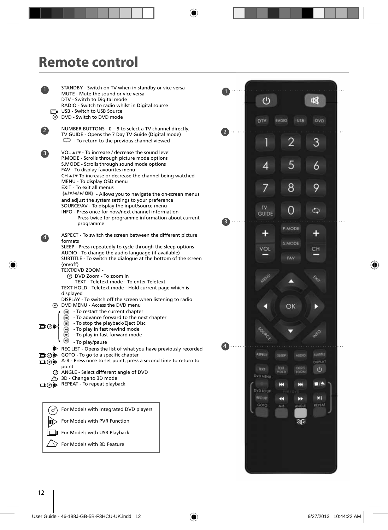## **Remote control**

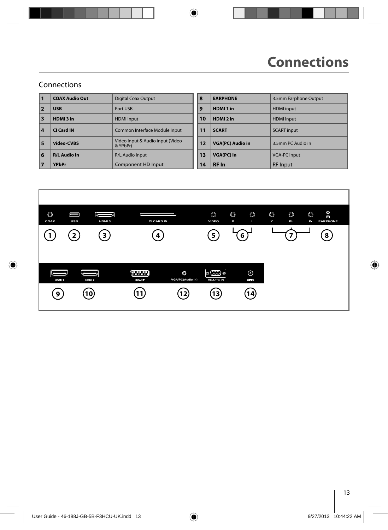### Connections

| 11 | <b>COAX Audio Out</b> | <b>Digital Coax Output</b>                   | 8  | <b>EARPHONE</b>         | 3.5mm Earphone Output |
|----|-----------------------|----------------------------------------------|----|-------------------------|-----------------------|
| 2  | <b>USB</b>            | Port USB                                     | 19 | HDMI <sub>1</sub> in    | <b>HDMI</b> input     |
| 13 | HDMI3 in              | <b>HDMI</b> input                            | 10 | HDMI <sub>2</sub> in    | <b>HDMI</b> input     |
| 4  | CI Card IN            | Common Interface Module Input                | 11 | <b>SCART</b>            | <b>SCART</b> input    |
| 5  | <b>Video-CVBS</b>     | Video Input & Audio input (Video<br>& YPbPr) | 12 | <b>VGA(PC) Audio in</b> | 3.5mm PC Audio in     |
| 6  | <b>R/L Audio In</b>   | <b>R/L Audio Input</b>                       | 13 | VGA(PC) In              | <b>VGA-PC input</b>   |
| 17 | <b>YPbPr</b>          | Component HD Input                           | 14 | <b>RF</b> In            | <b>RF</b> Input       |

| 8  | <b>EARPHONE</b>         | 3.5mm Earphone Output |
|----|-------------------------|-----------------------|
| 9  | HDMI <sub>1</sub> in    | <b>HDMI</b> input     |
| 10 | HDMI <sub>2</sub> in    | <b>HDMI</b> input     |
| 11 | <b>SCART</b>            | <b>SCART</b> input    |
| 12 | <b>VGA(PC) Audio in</b> | 3.5mm PC Audio in     |
| 13 | VGA(PC) In              | <b>VGA-PC input</b>   |
| 14 | <b>RF</b> In            | <b>RF</b> Input       |
|    |                         |                       |

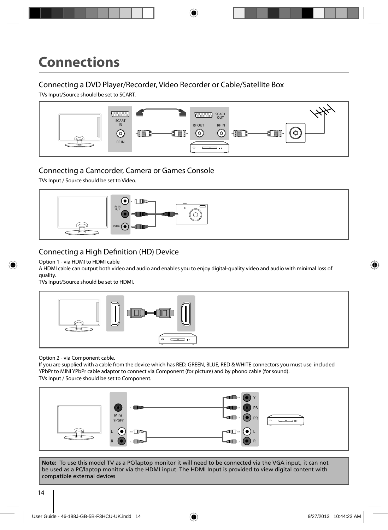### Connecting a DVD Player/Recorder, Video Recorder or Cable/Satellite Box

TVs Input/Source should be set to SCART.



### Connecting a Camcorder, Camera or Games Console

TVs Input / Source should be set to Video.



### Connecting a High Definition (HD) Device

Option 1 - via HDMI to HDMI cable

A HDMI cable can output both video and audio and enables you to enjoy digital-quality video and audio with minimal loss of quality.

TVs Input/Source should be set to HDMI.



Option 2 - via Component cable.

If you are supplied with a cable from the device which has RED, GREEN, BLUE, RED & WHITE connectors you must use included YPbPr to MINI YPbPr cable adaptor to connect via Component (for picture) and by phono cable (for sound). TVs Input / Source should be set to Component.



**Note:** To use this model TV as a PC/laptop monitor it will need to be connected via the VGA input, it can not be used as a PC/laptop monitor via the HDMI input. The HDMI Input is provided to view digital content with compatible external devices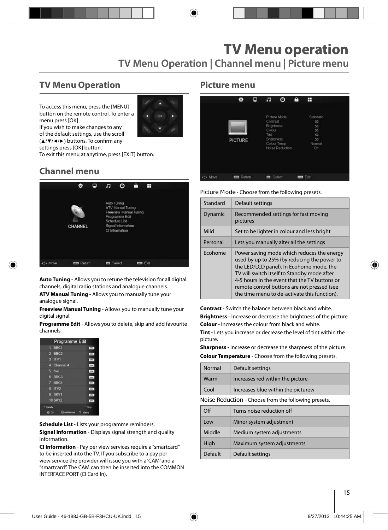### **TV Menu Operation**

To access this menu, press the [MENU] button on the remote control. To enter a menu press [OK]



If you wish to make changes to any of the default settings, use the scroll  $(A/\nabla/\blacktriangle)$  buttons. To confirm any settings press [OK] button.

To exit this menu at anytime, press [EXIT] button.

## **Channel menu**



**Auto Tuning** - Allows you to retune the television for all digital channels, digital radio stations and analogue channels.

**ATV Manual Tuning** - Allows you to manually tune your analogue signal.

**Freeview Manual Tuning** - Allows you to manually tune your digital signal.

**Programme Edit** - Allows you to delete, skip and add favourite channels.

| Programme Edit        |         |
|-----------------------|---------|
| 1 BBC1                | Lens.   |
| $2$ BBC <sub>2</sub>  | $254 -$ |
| $3$ ITV1              | 182     |
| <b>Channel 4</b><br>п | (29)    |
| 5 five                | 188     |
| 6 BBC3                | 100     |
| 7 BBC4                | itty.   |
| B ITV2                | m       |
| 9 SKY1                | $-1274$ |
| <b>10 SKY2</b>        | . pre-  |
| Detaile               | Skia    |
| <b>OLD DIA</b>        |         |

**Schedule List** - Lists your programme reminders.

**Signal Information** - Displays signal strength and quality information.

**CI Information** - Pay per view services require a "smartcard" to be inserted into the TV. If you subscribe to a pay per view service the provider will issue you with a 'CAM' and a "smartcard". The CAM can then be inserted into the COMMON INTERFACE PORT (CI Card In).

#### **Picture menu**

|         | 姿                | ₽ | Æ                                                                   | ര                                              | ê | Ħ                                                      |  |
|---------|------------------|---|---------------------------------------------------------------------|------------------------------------------------|---|--------------------------------------------------------|--|
|         | <b>PICTURE</b>   |   | Contrast<br><b>Brightness</b><br>Colour<br>Tint<br><b>Sharpness</b> | Picture Mode<br>Colour Temp<br>Noise Reduction |   | Standard<br>50<br>50<br>50<br>50<br>50<br>Normal<br>On |  |
| ._ Move | <b>EE</b> Return |   | <b>Ez</b> Select                                                    |                                                |   | <b>m</b> Ext                                           |  |

**Picture Mode** - Choose from the following presets.

| Standard | Default settings                                                                                                                                                                                                                                                                                                                     |
|----------|--------------------------------------------------------------------------------------------------------------------------------------------------------------------------------------------------------------------------------------------------------------------------------------------------------------------------------------|
| Dynamic  | Recommended settings for fast moving<br>pictures                                                                                                                                                                                                                                                                                     |
| Mild     | Set to be lighter in colour and less bright                                                                                                                                                                                                                                                                                          |
| Personal | Lets you manually alter all the settings                                                                                                                                                                                                                                                                                             |
| Ecohome  | Power saving mode which reduces the energy<br>used by up to 25% (by reducing the power to<br>the LED/LCD panel). In Ecohome mode, the<br>TV will switch itself to Standby mode after<br>4-5 hours in the event that the TV buttons or<br>remote control buttons are not pressed (see<br>the time menu to de-activate this function). |

**Contrast** - Switch the balance between black and white. **Brightness** - Increase or decrease the brightness of the picture. **Colour** - Increases the colour from black and white.

**Tint** - Lets you increase or decrease the level of tint within the picture.

**Sharpness** - Increase or decrease the sharpness of the picture.

**Colour Temperature** - Choose from the following presets.

| Normal | Default settings                   |
|--------|------------------------------------|
| Warm   | Increases red within the picture   |
| Cool   | Increases blue within the picturew |

**Noise Reduction** - Choose from the following presets.

| Off     | Turns noise reduction off  |
|---------|----------------------------|
| Low     | Minor system adjustment    |
| Middle  | Medium system adjustments  |
| High    | Maximum system adjustments |
| Default | Default settings           |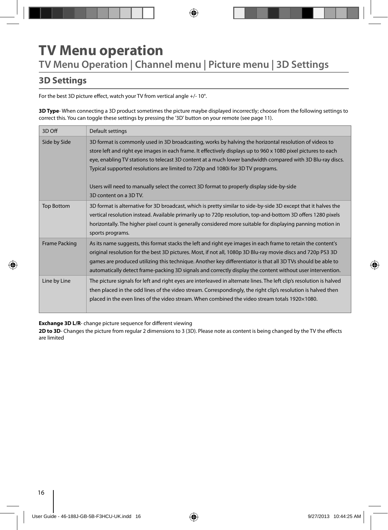## **TV Menu operation TV Menu Operation | Channel menu | Picture menu | 3D Settings**

### **3D Settings**

For the best 3D picture effect, watch your TV from vertical angle +/- 10°.

**3D Type**- When connecting a 3D product sometimes the picture maybe displayed incorrectly; choose from the following settings to correct this. You can toggle these settings by pressing the '3D' button on your remote (see page 11).

| 3D Off               | Default settings                                                                                                                                                                                                                                                                                                                                                                                                                                                                                                                                 |
|----------------------|--------------------------------------------------------------------------------------------------------------------------------------------------------------------------------------------------------------------------------------------------------------------------------------------------------------------------------------------------------------------------------------------------------------------------------------------------------------------------------------------------------------------------------------------------|
| Side by Side         | 3D format is commonly used in 3D broadcasting, works by halving the horizontal resolution of videos to<br>store left and right eye images in each frame. It effectively displays up to 960 x 1080 pixel pictures to each<br>eye, enabling TV stations to telecast 3D content at a much lower bandwidth compared with 3D Blu-ray discs.<br>Typical supported resolutions are limited to 720p and 1080i for 3D TV programs.<br>Users will need to manually select the correct 3D format to properly display side-by-side<br>3D content on a 3D TV. |
| <b>Top Bottom</b>    | 3D format is alternative for 3D broadcast, which is pretty similar to side-by-side 3D except that it halves the<br>vertical resolution instead. Available primarily up to 720p resolution, top-and-bottom 3D offers 1280 pixels<br>horizontally. The higher pixel count is generally considered more suitable for displaying panning motion in<br>sports programs.                                                                                                                                                                               |
| <b>Frame Packing</b> | As its name suggests, this format stacks the left and right eye images in each frame to retain the content's<br>original resolution for the best 3D pictures. Most, if not all, 1080p 3D Blu-ray movie discs and 720p PS3 3D<br>games are produced utilizing this technique. Another key differentiator is that all 3D TVs should be able to<br>automatically detect frame-packing 3D signals and correctly display the content without user intervention.                                                                                       |
| Line by Line         | The picture signals for left and right eyes are interleaved in alternate lines. The left clip's resolution is halved<br>then placed in the odd lines of the video stream. Correspondingly, the right clip's resolution is halved then<br>placed in the even lines of the video stream. When combined the video stream totals 1920×1080.                                                                                                                                                                                                          |

**Exchange 3D L/R-** change picture sequence for different viewing

2D to 3D- Changes the picture from regular 2 dimensions to 3 (3D). Please note as content is being changed by the TV the effects are limited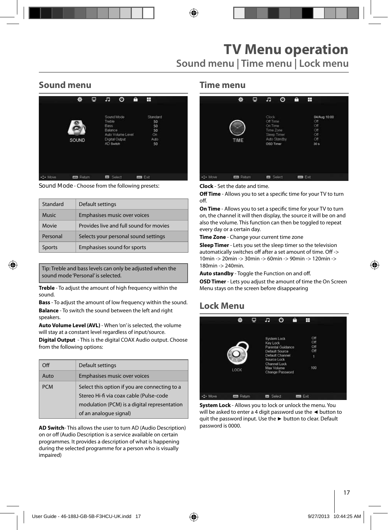### **Sound menu**

|        | ło.               | Φ | c                                                    | O                                                 | A | H                                              |  |
|--------|-------------------|---|------------------------------------------------------|---------------------------------------------------|---|------------------------------------------------|--|
|        | SOUND             |   | <b>Treble</b><br><b>Bass</b><br>Balance<br>AD Switch | Sound Mode<br>Auto Volume Level<br>Digital Output |   | Standard<br>50<br>50<br>50<br>On<br>Auto<br>50 |  |
| · Move | <b>ESS</b> Return |   | $\omega$                                             | Select                                            |   | m Ext                                          |  |

**Sound Mode** - Choose from the following presets:

| Standard     | Default settings                        |
|--------------|-----------------------------------------|
| <b>Music</b> | Emphasises music over voices            |
| Movie        | Provides live and full sound for movies |
| Personal     | Selects your personal sound settings    |
| Sports       | Emphasises sound for sports             |

Tip: Treble and bass levels can only be adjusted when the sound mode 'Personal' is selected.

**Treble** - To adjust the amount of high frequency within the sound.

**Bass** - To adjust the amount of low frequency within the sound. **Balance** - To switch the sound between the left and right speakers.

**Auto Volume Level (AVL)** - When 'on' is selected, the volume will stay at a constant level regardless of input/source.

**Digital Output** - This is the digital COAX Audio output. Choose from the following options:

| $\Omega$   | Default settings                                                                                                                                                   |
|------------|--------------------------------------------------------------------------------------------------------------------------------------------------------------------|
| Auto       | <b>Emphasises music over voices</b>                                                                                                                                |
| <b>PCM</b> | Select this option if you are connecting to a<br>Stereo Hi-fi via coax cable (Pulse-code<br>modulation (PCM) is a digital representation<br>of an analogue signal) |

**AD Switch**- This allows the user to turn AD (Audio Description) on or off (Audio Description is a service available on certain programmes. It provides a description of what is happening during the selected programme for a person who is visually impaired)

#### **Time menu**

|          | 资             | ₽ | л                                                                     | $\circ$      | A | Ŧ                                                  |              |  |
|----------|---------------|---|-----------------------------------------------------------------------|--------------|---|----------------------------------------------------|--------------|--|
|          | TIME          |   | Clock<br>Off Time<br>On Time<br>Time Zone<br>Sleep Timer<br>OSD Timer | Auto Standby |   | Off<br>Off<br>Off<br>Off<br>Off<br>30 <sub>5</sub> | 04/Aug 10:00 |  |
| +2+ Move | <b>Return</b> |   | <b>m</b> Select                                                       |              |   | <b>Dial</b> Exit                                   |              |  |

**Clock** - Set the date and time.

**Off Time** - Allows you to set a specific time for your TV to turn off.

**On Time** - Allows you to set a specific time for your TV to turn on, the channel it will then display, the source it will be on and also the volume. This function can then be toggled to repeat every day or a certain day.

**Time Zone** - Change your current time zone

**Sleep Timer** - Lets you set the sleep timer so the television automatically switches off after a set amount of time. Off -> 10min -> 20min -> 30min -> 60min -> 90min -> 120min -> 180min -> 240min.

**Auto standby** - Toggle the Function on and off.

**OSD Timer** - Lets you adjust the amount of time the On Screen Menu stays on the screen before disappearing

## **Lock Menu**

|        | ×                 | ۵ | л                | റ                                                                                                                                            | a | H                                    |  |
|--------|-------------------|---|------------------|----------------------------------------------------------------------------------------------------------------------------------------------|---|--------------------------------------|--|
|        | LOCK              |   | Key Lock         | System Lock<br><b>Parental Guidance</b><br>Default Source<br>Default Channel<br>Source Lock<br>Channel Lock<br>Max Volume<br>Change Password |   | Off<br>Off<br>Off<br>Off<br>١<br>100 |  |
| - Move | <b>EEE</b> Roturn |   | <b>Ed</b> Solect |                                                                                                                                              |   | mm Exit                              |  |

**System Lock** - Allows you to lock or unlock the menu. You will be asked to enter a 4 digit password use the **◄** button to quit the password input. Use the **►** button to clear. Default password is 0000.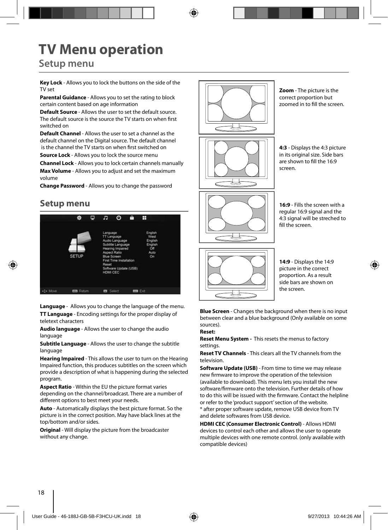# **TV Menu operation**

### **Setup menu**

**Key Lock** - Allows you to lock the buttons on the side of the TV set

**Parental Guidance** - Allows you to set the rating to block certain content based on age information

**Default Source** - Allows the user to set the default source. The default source is the source the TV starts on when first switched on

**Default Channel** - Allows the user to set a channel as the default channel on the Digital source. The default channel is the channel the TV starts on when first switched on

**Source Lock** - Allows you to lock the source menu

**Channel Lock** - Allows you to lock certain channels manually **Max Volume** - Allows you to adjust and set the maximum volume

**Change Password** - Allows you to change the password

### **Setup menu**



**Language** - Allows you to change the language of the menu. **TT Language** - Encoding settings for the proper display of teletext characters

**Audio language** - Allows the user to change the audio language

**Subtitle Language** - Allows the user to change the subtitle language

**Hearing Impaired** - This allows the user to turn on the Hearing Impaired function, this produces subtitles on the screen which provide a description of what is happening during the selected program.

**Aspect Ratio** - Within the EU the picture format varies depending on the channel/broadcast. There are a number of different options to best meet your needs.

**Auto** - Automatically displays the best picture format. So the picture is in the correct position. May have black lines at the top/bottom and/or sides.

**Original** - Will display the picture from the broadcaster without any change.



**Zoom** - The picture is the correct proportion but zoomed in to fill the screen.

**4:3** - Displays the 4:3 picture in its original size. Side bars are shown to fill the 16:9 screen.

**16:9** - Fills the screen with a regular 16:9 signal and the 4:3 signal will be streched to fill the screen.



**14:9** - Displays the 14:9 picture in the correct proportion. As a result side bars are shown on the screen.

**Blue Screen** - Changes the background when there is no input between clear and a blue background (Only available on some sources).

#### **Reset:**

**Reset Menu System -** This resets the menus to factory settings.

**Reset TV Channels** - This clears all the TV channels from the television.

**Software Update (USB)** - From time to time we may release new firmware to improve the operation of the television (available to download). This menu lets you install the new software/firmware onto the television. Further details of how to do this will be issued with the firmware. Contact the helpline or refer to the 'product support' section of the website. \* after proper software update, remove USB device from TV and delete softwares from USB device.

**HDMI CEC (Consumer Electronic Control)** - Allows HDMI devices to control each other and allows the user to operate multiple devices with one remote control. (only available with compatible devices)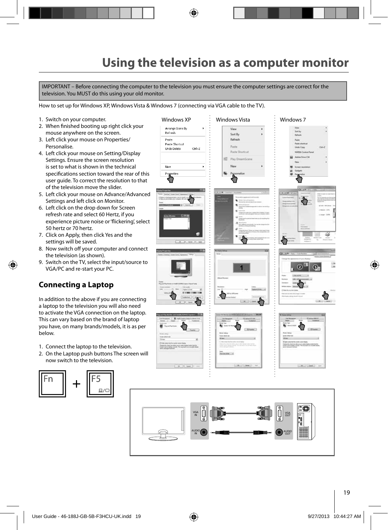## **Using the television as a computer monitor**

IMPORTANT – Before connecting the computer to the television you must ensure the computer settings are correct for the television. You MUST do this using your old monitor.

How to set up for Windows XP, Windows Vista & Windows 7 (connecting via VGA cable to the TV).

- 1. Switch on your computer.
- 2. When finished booting up right click your mouse anywhere on the screen.
- 3. Left click your mouse on Properties/ Personalise.
- 4. Left click your mouse on Setting/Display Settings. Ensure the screen resolution is set to what is shown in the technical specifications section toward the rear of this user guide. To correct the resolution to that of the television move the slider.
- 5. Left click your mouse on Advance/Advanced Settings and left click on Monitor.
- 6. Left click on the drop down for Screen refresh rate and select 60 Hertz, if you experience picture noise or 'flickering', select 50 hertz or 70 hertz.
- 7. Click on Apply, then click Yes and the settings will be saved.
- 8. Now switch off your computer and connect the television (as shown).
- 9. Switch on the TV, select the input/source to VGA/PC and re-start your PC.

#### **Connecting a Laptop**

In addition to the above if you are connecting a laptop to the television you will also need to activate the VGA connection on the laptop. This can vary based on the brand of laptop you have, on many brands/models, it is as per below.

- 1. Connect the laptop to the television.
- 2. On the Laptop push buttons The screen will now switch to the television.



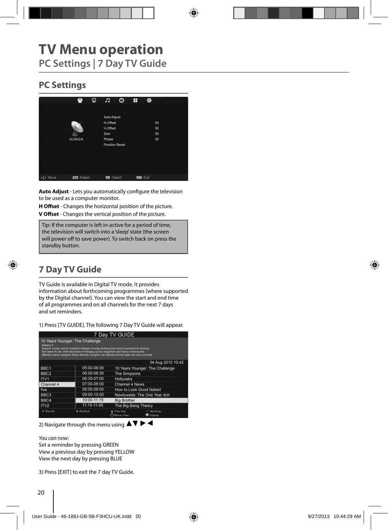## **TV Menu operation PC Settings | 7 Day TV Guide**

### **PC Settings**



**Auto Adjust** - Lets you automatically configure the television to be used as a computer monitor.

**H Offset** - Changes the horizontal position of the picture. **V Offset** - Changes the vertical position of the picture.

Tip: If the computer is left in-active for a period of time, the television will switch into a 'sleep' state (the screen will power off to save power). To switch back on press the **Postandby button. Postandby button. Postandby button.** 

## **7 Day TV Guide**

TV Guide is available in Digital TV mode. It provides information about forthcoming programmes (where supported by the Digital channel). You can view the start and end time of all programmes and on all channels for the next 7 days and set reminders.

1) Press [TV GUIDE]. The following 7 Day TV Guide will appear.

|                     |                                                                                                                                                                                                                                                                                                                       | 7 Day TV GUIDE               |                                 |
|---------------------|-----------------------------------------------------------------------------------------------------------------------------------------------------------------------------------------------------------------------------------------------------------------------------------------------------------------------|------------------------------|---------------------------------|
| Season <sub>2</sub> | 10 Years Younger: The Challenge<br>Support worker Janice Cassidy's lifestyle of long working hours and a penchant for tanning<br>has taken its toll, while the shess of bringing up two daughters and heavy smoking has<br>affected interior designer Shere Morady. Surgeon Jan Stanek and the Nam set out to provide |                              |                                 |
|                     |                                                                                                                                                                                                                                                                                                                       |                              | 04 Aug 2010 10:42               |
| BBC <sub>1</sub>    | 05:00-06:00                                                                                                                                                                                                                                                                                                           |                              | 10 Years Younger: The Challenge |
| BBC <sub>2</sub>    | 06:00-06:30                                                                                                                                                                                                                                                                                                           | <b>The Simpsons</b>          |                                 |
| ITV <sub>1</sub>    | 06:30-07:00                                                                                                                                                                                                                                                                                                           | Hollyoaks                    |                                 |
| Channel 4           | 07:00-08:00                                                                                                                                                                                                                                                                                                           | Channel 4 News               |                                 |
| five                | 08:00-09:00                                                                                                                                                                                                                                                                                                           |                              | How to Look Good Naked          |
| BBC <sub>3</sub>    | 09:00-10:00                                                                                                                                                                                                                                                                                                           |                              | Newlyweds: The One Year Itch    |
| BBC4                | 10:00-11:15                                                                                                                                                                                                                                                                                                           | <b>Big Brother</b>           |                                 |
| ITV <sub>2</sub>    | 11:15-11:45                                                                                                                                                                                                                                                                                                           | The Big Bang Theory          |                                 |
| * Record            | # Remind                                                                                                                                                                                                                                                                                                              | Pray Day<br><b>Move View</b> | Next Day<br><b>O</b> Display    |

2) Navigate through the menu using  $\blacktriangle \blacktriangledown \blacktriangleright \blacktriangle$ 

You can now:

Set a reminder by pressing GREEN View a previous day by pressing YELLOW View the next day by pressing BLUE

3) Press [EXIT] to exit the 7 day TV Guide.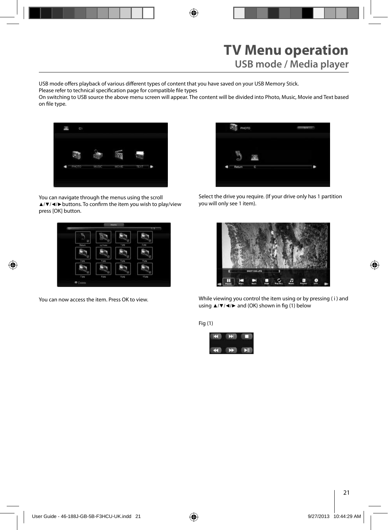USB mode offers playback of various different types of content that you have saved on your USB Memory Stick.

Please refer to technical specification page for compatible file types

On switching to USB source the above menu screen will appear. The content will be divided into Photo, Music, Movie and Text based on file type.



You can navigate through the menus using the scroll ▲/▼/◀/▶buttons. To confirm the item you wish to play/view press [OK] button.



You can now access the item. Press OK to view.



Select the drive you require. (If your drive only has 1 partition you will only see 1 item).



While viewing you control the item using or by pressing ( i ) and using  $\triangle$ /▼/◀/► and (OK) shown in fig (1) below

Fig (1)

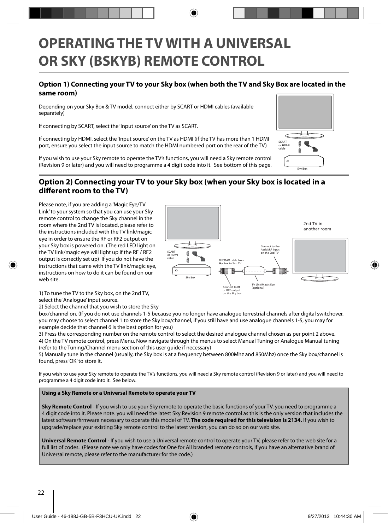## **OPERATING THE TV WITH A UNIVERSAL OR SKY (BSKYB) REMOTE CONTROL**

#### **Option 1) Connecting your TV to your Sky box (when both the TV and Sky Box are located in the same room)**

Depending on your Sky Box & TV model, connect either by SCART or HDMI cables (available separately)

If connecting by SCART, select the 'Input source' on the TV as SCART.

If connecting by HDMI, select the 'Input source' on the TV as HDMI (if the TV has more than 1 HDMI port, ensure you select the input source to match the HDMI numbered port on the rear of the TV)

If you wish to use your Sky remote to operate the TV's functions, you will need a Sky remote control (Revision 9 or later) and you will need to programme a 4 digit code into it. See bottom of this page.



#### **Option 2) Connecting your TV to your Sky box (when your Sky box is located in a**  different room to the TV)

Please note, if you are adding a 'Magic Eye/TV Link' to your system so that you can use your Sky remote control to change the Sky channel in the room where the 2nd TV is located, please refer to the instructions included with the TV link/magic eye in order to ensure the RF or RF2 output on your Sky box is powered on. (The red LED light on the TV link/magic eye will light up if the RF / RF2 output is correctly set up) If you do not have the instructions that came with the TV link/magic eye, instructions on how to do it can be found on our web site.



1) To tune the TV to the Sky box, on the 2nd TV, select the 'Analogue' input source.

2) Select the channel that you wish to store the Sky

box/channel on. (If you do not use channels 1-5 because you no longer have analogue terrestrial channels after digital switchover, you may choose to select channel 1 to store the Sky box/channel, if you still have and use analogue channels 1-5, you may for example decide that channel 6 is the best option for you)

3) Press the corresponding number on the remote control to select the desired analogue channel chosen as per point 2 above. 4) On the TV remote control, press Menu. Now navigate through the menus to select Manual Tuning or Analogue Manual tuning (refer to the Tuning/Channel menu section of this user guide if necessary)

5) Manually tune in the channel (usually, the Sky box is at a frequency between 800Mhz and 850Mhz) once the Sky box/channel is found, press 'OK' to store it.

If you wish to use your Sky remote to operate the TV's functions, you will need a Sky remote control (Revision 9 or later) and you will need to programme a 4 digit code into it. See below.

#### **Using a Sky Remote or a Universal Remote to operate your TV**

**Sky Remote Control** - If you wish to use your Sky remote to operate the basic functions of your TV, you need to programme a 4 digit code into it. Please note. you will need the latest Sky Revision 9 remote control as this is the only version that includes the latest software/firmware necessary to operate this model of TV. The code required for this television is 2134. If you wish to upgrade/replace your existing Sky remote control to the latest version, you can do so on our web site.

**Universal Remote Control** - If you wish to use a Universal remote control to operate your TV, please refer to the web site for a full list of codes. (Please note we only have codes for One for All branded remote controls, if you have an alternative brand of Universal remote, please refer to the manufacturer for the code.)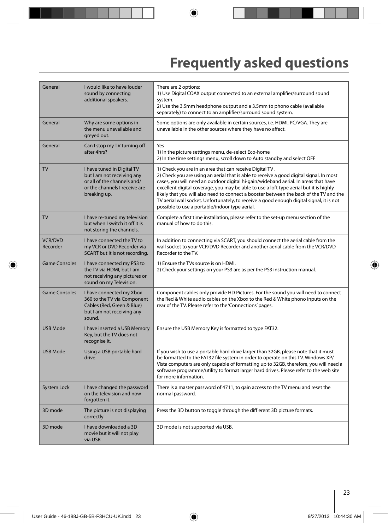# **Frequently asked questions**

| General                    | I would like to have louder<br>sound by connecting<br>additional speakers.                                                               | There are 2 options:<br>1) Use Digital COAX output connected to an external amplifier/surround sound<br>system.<br>2) Use the 3.5mm headphone output and a 3.5mm to phono cable (available<br>separately) to connect to an amplifier/surround sound system.                                                                                                                                                                                                                                                                                                                  |
|----------------------------|------------------------------------------------------------------------------------------------------------------------------------------|------------------------------------------------------------------------------------------------------------------------------------------------------------------------------------------------------------------------------------------------------------------------------------------------------------------------------------------------------------------------------------------------------------------------------------------------------------------------------------------------------------------------------------------------------------------------------|
| General                    | Why are some options in<br>the menu unavailable and<br>greyed out.                                                                       | Some options are only available in certain sources, i.e. HDMI, PC/VGA. They are<br>unavailable in the other sources where they have no affect.                                                                                                                                                                                                                                                                                                                                                                                                                               |
| General                    | Can I stop my TV turning off<br>after 4hrs?                                                                                              | Yes<br>1) In the picture settings menu, de-select Eco-home<br>2) In the time settings menu, scroll down to Auto standby and select OFF                                                                                                                                                                                                                                                                                                                                                                                                                                       |
| <b>TV</b>                  | I have tuned in Digital TV<br>but I am not receiving any<br>or all of the channels and/<br>or the channels I receive are<br>breaking up. | 1) Check you are in an area that can receive Digital TV.<br>2) Check you are using an aerial that is able to receive a good digital signal. In most<br>cases, you will need an outdoor digital hi-gain/wideband aerial. In areas that have<br>excellent digital coverage, you may be able to use a loft type aerial but it is highly<br>likely that you will also need to connect a booster between the back of the TV and the<br>TV aerial wall socket. Unfortunately, to receive a good enough digital signal, it is not<br>possible to use a portable/indoor type aerial. |
| <b>TV</b>                  | I have re-tuned my television<br>but when I switch it off it is<br>not storing the channels.                                             | Complete a first time installation, please refer to the set-up menu section of the<br>manual of how to do this.                                                                                                                                                                                                                                                                                                                                                                                                                                                              |
| <b>VCR/DVD</b><br>Recorder | I have connected the TV to<br>my VCR or DVD Recorder via<br>SCART but it is not recording.                                               | In addition to connecting via SCART, you should connect the aerial cable from the<br>wall socket to your VCR/DVD Recorder and another aerial cable from the VCR/DVD<br>Recorder to the TV.                                                                                                                                                                                                                                                                                                                                                                                   |
| <b>Game Consoles</b>       | I have connected my PS3 to<br>the TV via HDMI, but I am<br>not receiving any pictures or<br>sound on my Television.                      | 1) Ensure the TVs source is on HDMI.<br>2) Check your settings on your PS3 are as per the PS3 instruction manual.                                                                                                                                                                                                                                                                                                                                                                                                                                                            |
| <b>Game Consoles</b>       | I have connected my Xbox<br>360 to the TV via Component<br>Cables (Red, Green & Blue)<br>but I am not receiving any<br>sound.            | Component cables only provide HD Pictures. For the sound you will need to connect<br>the Red & White audio cables on the Xbox to the Red & White phono inputs on the<br>rear of the TV. Please refer to the 'Connections' pages.                                                                                                                                                                                                                                                                                                                                             |
| <b>USB Mode</b>            | I have inserted a USB Memory<br>Key, but the TV does not<br>recognise it.                                                                | Ensure the USB Memory Key is formatted to type FAT32.                                                                                                                                                                                                                                                                                                                                                                                                                                                                                                                        |
| <b>USB Mode</b>            | Using a USB portable hard<br>drive.                                                                                                      | If you wish to use a portable hard drive larger than 32GB, please note that it must<br>be formatted to the FAT32 file system in order to operate on this TV. Windows XP/<br>Vista computers are only capable of formatting up to 32GB, therefore, you will need a<br>software programme/utility to format larger hard drives. Please refer to the web site<br>for more information.                                                                                                                                                                                          |
| System Lock                | I have changed the password<br>on the television and now<br>forgotten it.                                                                | There is a master password of 4711, to gain access to the TV menu and reset the<br>normal password.                                                                                                                                                                                                                                                                                                                                                                                                                                                                          |
| 3D mode                    | The picture is not displaying<br>correctly                                                                                               | Press the 3D button to toggle through the diff erent 3D picture formats.                                                                                                                                                                                                                                                                                                                                                                                                                                                                                                     |
| 3D mode                    | I have downloaded a 3D<br>movie but it will not play<br>via USB                                                                          | 3D mode is not supported via USB.                                                                                                                                                                                                                                                                                                                                                                                                                                                                                                                                            |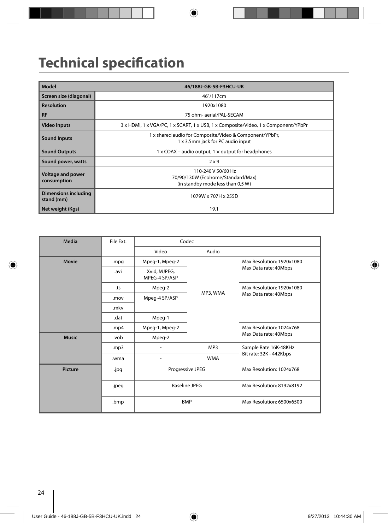# **Technical specification**

| Model                                   | 46/188J-GB-5B-F3HCU-UK                                                                       |
|-----------------------------------------|----------------------------------------------------------------------------------------------|
| Screen size (diagonal)                  | 46"/117cm                                                                                    |
| <b>Resolution</b>                       | 1920x1080                                                                                    |
| <b>RF</b>                               | 75 ohm- aerial/PAL-SECAM                                                                     |
| <b>Video Inputs</b>                     | 3 x HDMI, 1 x VGA/PC, 1 x SCART, 1 x USB, 1 x Composite/Video, 1 x Component/YPbPr           |
| <b>Sound Inputs</b>                     | 1 x shared audio for Composite/Video & Component/YPbPr,<br>1 x 3.5mm jack for PC audio input |
| <b>Sound Outputs</b>                    | $1 \times$ COAX – audio output, $1 \times$ output for headphones                             |
| Sound power, watts                      | 2x9                                                                                          |
| <b>Voltage and power</b><br>consumption | 110-240 V 50/60 Hz<br>70/90/130W (Ecohome/Standard/Max)<br>(in standby mode less than 0,5 W) |
| Dimensions including<br>stand (mm)      | 1079W x 707H x 255D                                                                          |
| Net weight (Kgs)                        | 19.1                                                                                         |

| Media          | File Ext. | Codec                         |            |                           |  |
|----------------|-----------|-------------------------------|------------|---------------------------|--|
|                |           | Video                         | Audio      |                           |  |
| <b>Movie</b>   | .mpg      | Mpeg-1, Mpeg-2                |            | Max Resolution: 1920x1080 |  |
|                | .avi      | Xvid, MJPEG,<br>MPEG-4 SP/ASP |            | Max Data rate: 40Mbps     |  |
|                | .ts       | Mpeg-2                        |            | Max Resolution: 1920x1080 |  |
|                | .mov      | Mpeg-4 SP/ASP                 | MP3, WMA   | Max Data rate: 40Mbps     |  |
|                | .mkv      |                               |            |                           |  |
|                | .dat      | Mpeg-1                        |            |                           |  |
|                | .mp4      | Mpeg-1, Mpeg-2                |            | Max Resolution: 1024x768  |  |
| <b>Music</b>   | .vob      | Mpeg-2                        |            | Max Data rate: 40Mbps     |  |
|                | .mp3      |                               | MP3        | Sample Rate 16K-48KHz     |  |
|                | .wma      | ٠                             | <b>WMA</b> | Bit rate: 32K - 442Kbps   |  |
| <b>Picture</b> | .jpg      | Progressive JPEG              |            | Max Resolution: 1024x768  |  |
|                | .jpeg     | <b>Baseline JPEG</b>          |            | Max Resolution: 8192x8192 |  |
|                | .bmp      | <b>BMP</b>                    |            | Max Resolution: 6500x6500 |  |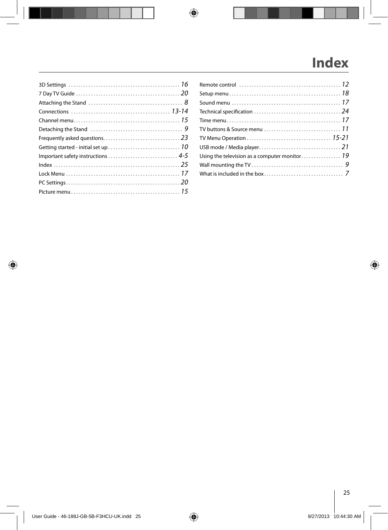# **Index**